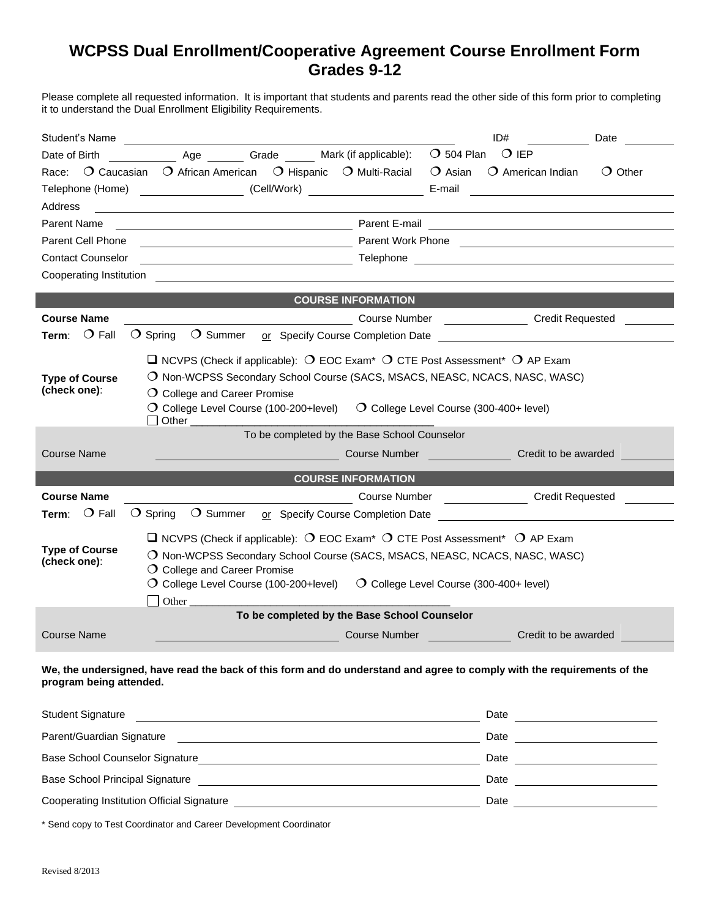## **WCPSS Dual Enrollment/Cooperative Agreement Course Enrollment Form Grades 9-12**

Please complete all requested information. It is important that students and parents read the other side of this form prior to completing it to understand the Dual Enrollment Eligibility Requirements.

| Student's Name                                                                                                                                       |                                                                                                                                     |                                 |                                                                                                                |                         | ID#                                                                                     | Date             |  |
|------------------------------------------------------------------------------------------------------------------------------------------------------|-------------------------------------------------------------------------------------------------------------------------------------|---------------------------------|----------------------------------------------------------------------------------------------------------------|-------------------------|-----------------------------------------------------------------------------------------|------------------|--|
| Date of Birth                                                                                                                                        |                                                                                                                                     | Age Grade Mark (if applicable): |                                                                                                                | $\bigcirc$ 504 Plan     | $\bigcirc$ IEP                                                                          |                  |  |
| Race:                                                                                                                                                | O Caucasian O African American O Hispanic O Multi-Racial                                                                            |                                 |                                                                                                                | ◯ Asian                 | $O$ American Indian                                                                     | $\bigcirc$ Other |  |
| Telephone (Home) (Cell/Work)<br>E-mail<br>the control of the control of the control of the control of the control of the control of                  |                                                                                                                                     |                                 |                                                                                                                |                         |                                                                                         |                  |  |
| Address                                                                                                                                              |                                                                                                                                     |                                 |                                                                                                                |                         |                                                                                         |                  |  |
| <b>Parent Name</b>                                                                                                                                   |                                                                                                                                     |                                 |                                                                                                                |                         |                                                                                         |                  |  |
| Parent Work Phone <b>Commission</b> Parent Work Phone <b>Commission</b> Parent Work Phone <b>Commission</b><br>Parent Cell Phone                     |                                                                                                                                     |                                 |                                                                                                                |                         |                                                                                         |                  |  |
| <b>Contact Counselor</b>                                                                                                                             |                                                                                                                                     |                                 | the control of the control of the control of the control of the control of the control of the control of the c |                         |                                                                                         |                  |  |
| Cooperating Institution <b>Cooperation Cooperation Cooperation Cooperation Cooperation</b>                                                           |                                                                                                                                     |                                 |                                                                                                                |                         |                                                                                         |                  |  |
| <b>COURSE INFORMATION</b>                                                                                                                            |                                                                                                                                     |                                 |                                                                                                                |                         |                                                                                         |                  |  |
| <b>Course Name</b>                                                                                                                                   |                                                                                                                                     |                                 |                                                                                                                |                         | Course Number _________________________ Credit Requested                                |                  |  |
| <b>Term:</b> $\bigcirc$ Fall                                                                                                                         | O Spring O Summer or Specify Course Completion Date                                                                                 |                                 |                                                                                                                |                         |                                                                                         |                  |  |
|                                                                                                                                                      |                                                                                                                                     |                                 |                                                                                                                |                         |                                                                                         |                  |  |
|                                                                                                                                                      | $\Box$ NCVPS (Check if applicable): $\bigcirc$ EOC Exam <sup>*</sup> $\bigcirc$ CTE Post Assessment <sup>*</sup> $\bigcirc$ AP Exam |                                 |                                                                                                                |                         |                                                                                         |                  |  |
| <b>Type of Course</b>                                                                                                                                | O Non-WCPSS Secondary School Course (SACS, MSACS, NEASC, NCACS, NASC, WASC)                                                         |                                 |                                                                                                                |                         |                                                                                         |                  |  |
| (check one):                                                                                                                                         | O College and Career Promise                                                                                                        |                                 |                                                                                                                |                         |                                                                                         |                  |  |
| $\overline{O}$ College Level Course (100-200+level) $\overline{O}$ College Level Course (300-400+ level)<br>$\Box$ Other $\Box$                      |                                                                                                                                     |                                 |                                                                                                                |                         |                                                                                         |                  |  |
| To be completed by the Base School Counselor                                                                                                         |                                                                                                                                     |                                 |                                                                                                                |                         |                                                                                         |                  |  |
| <b>Course Name</b>                                                                                                                                   |                                                                                                                                     |                                 | <b>Course Number Course In the Course Number</b>                                                               |                         | Credit to be awarded                                                                    |                  |  |
|                                                                                                                                                      |                                                                                                                                     |                                 |                                                                                                                |                         |                                                                                         |                  |  |
|                                                                                                                                                      |                                                                                                                                     | <b>COURSE INFORMATION</b>       |                                                                                                                |                         |                                                                                         |                  |  |
| <b>Course Name</b>                                                                                                                                   |                                                                                                                                     |                                 |                                                                                                                |                         | Course Number Credit Requested                                                          |                  |  |
| Term: $O$ Fall                                                                                                                                       | $\bigcirc$ Spring                                                                                                                   |                                 |                                                                                                                |                         | O Summer or Specify Course Completion Date <u>Community Community Course Completion</u> |                  |  |
|                                                                                                                                                      | $\Box$ NCVPS (Check if applicable): $\bigcirc$ EOC Exam <sup>*</sup> $\bigcirc$ CTE Post Assessment <sup>*</sup> $\bigcirc$ AP Exam |                                 |                                                                                                                |                         |                                                                                         |                  |  |
| <b>Type of Course</b><br>O Non-WCPSS Secondary School Course (SACS, MSACS, NEASC, NCACS, NASC, WASC)<br>(check one):<br>O College and Career Promise |                                                                                                                                     |                                 |                                                                                                                |                         |                                                                                         |                  |  |
|                                                                                                                                                      |                                                                                                                                     |                                 |                                                                                                                |                         |                                                                                         |                  |  |
| O College Level Course (100-200+level) $\bigcirc$ College Level Course (300-400+ level)                                                              |                                                                                                                                     |                                 |                                                                                                                |                         |                                                                                         |                  |  |
| Other                                                                                                                                                |                                                                                                                                     |                                 |                                                                                                                |                         |                                                                                         |                  |  |
| To be completed by the Base School Counselor                                                                                                         |                                                                                                                                     |                                 |                                                                                                                |                         |                                                                                         |                  |  |
| Course Name                                                                                                                                          |                                                                                                                                     |                                 | <b>Course Number</b>                                                                                           | <u> 1999 - Jan Jawa</u> | Credit to be awarded                                                                    |                  |  |
|                                                                                                                                                      |                                                                                                                                     |                                 |                                                                                                                |                         |                                                                                         |                  |  |

## **We, the undersigned, have read the back of this form and do understand and agree to comply with the requirements of the program being attended.**

| <b>Student Signature</b>                   | Date |
|--------------------------------------------|------|
| Parent/Guardian Signature                  | Date |
| Base School Counselor Signature            | Date |
| <b>Base School Principal Signature</b>     | Date |
| Cooperating Institution Official Signature | Date |

\* Send copy to Test Coordinator and Career Development Coordinator

I